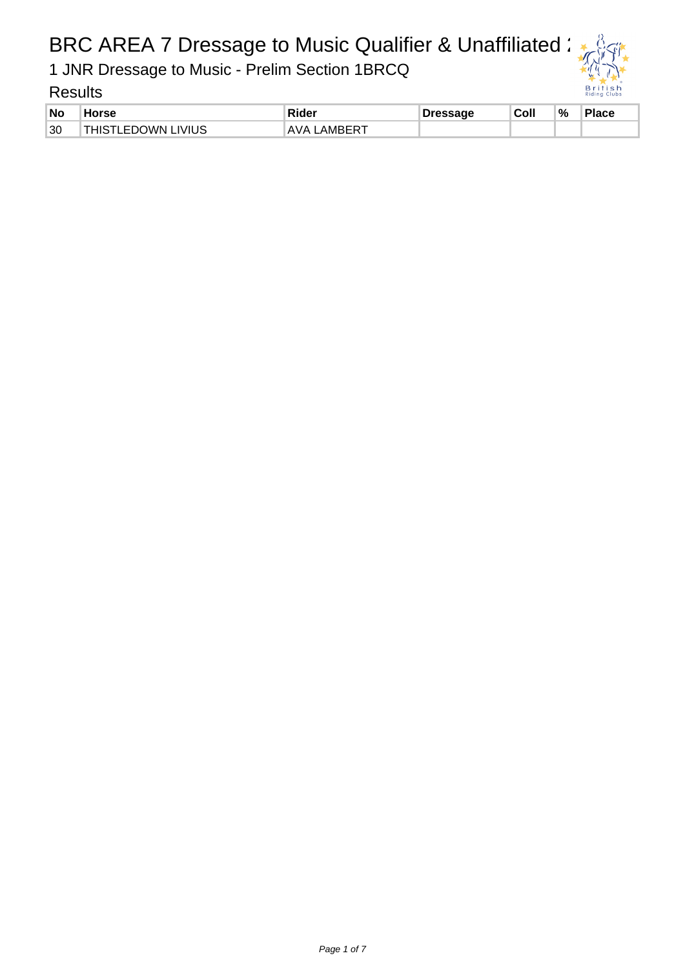1 JNR Dressage to Music - Prelim Section 1BRCQ

| <b>No</b> | <b>Horse</b>              | Rider              | Dressage | Coll | °⁄∘ | Place |
|-----------|---------------------------|--------------------|----------|------|-----|-------|
| 30        | <b>THISTLEDOWN LIVIUS</b> | <b>AVA LAMBERT</b> |          |      |     |       |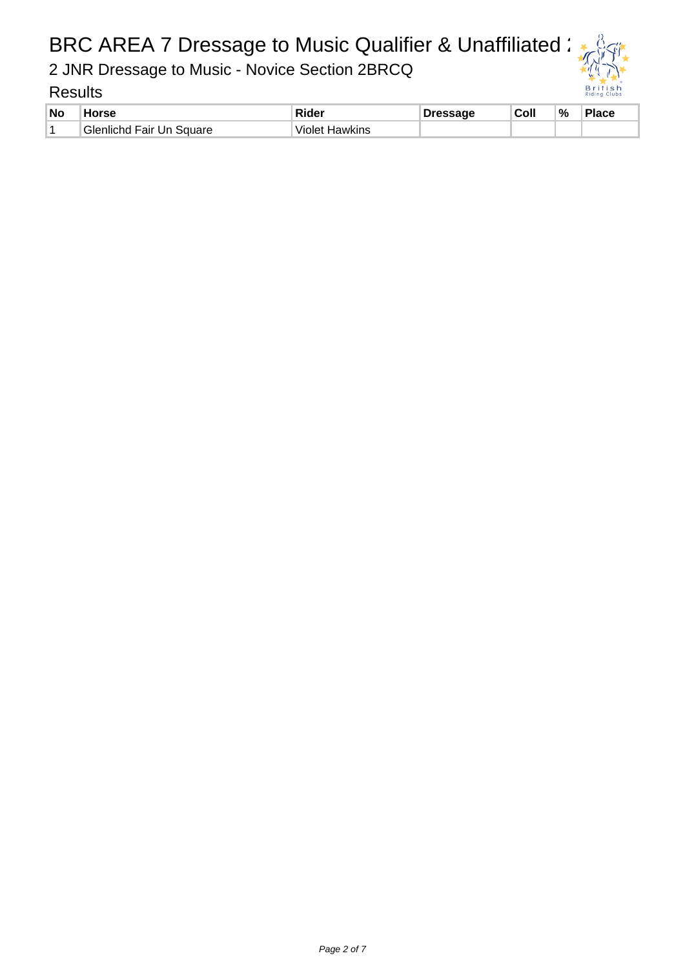2 JNR Dressage to Music - Novice Section 2BRCQ

| <b>No</b> | Horse                     | .Rider                   | Dressage | Coll | % | Place |
|-----------|---------------------------|--------------------------|----------|------|---|-------|
|           | `Glenlichd Fair Un Square | <b>Hawkins</b><br>violet |          |      |   |       |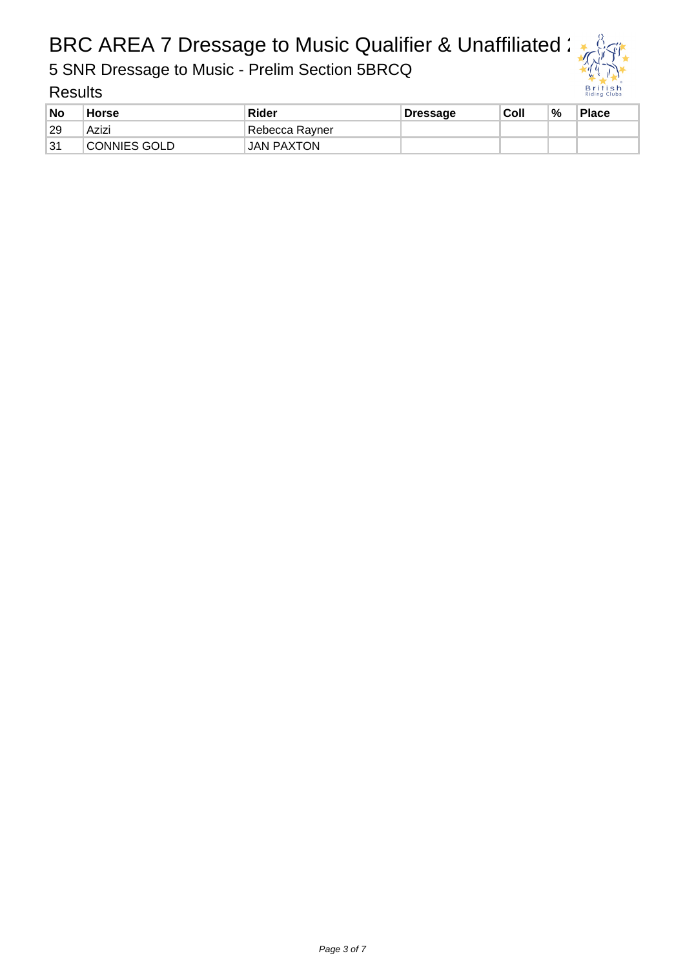5 SNR Dressage to Music - Prelim Section 5BRCQ

| No | <b>Horse</b> | <b>Rider</b>      | <b>Dressage</b> | Coll | % | <b>Place</b> |
|----|--------------|-------------------|-----------------|------|---|--------------|
| 29 | Azizi        | Rebecca Rayner    |                 |      |   |              |
| 31 | CONNIES GOLD | <b>JAN PAXTON</b> |                 |      |   |              |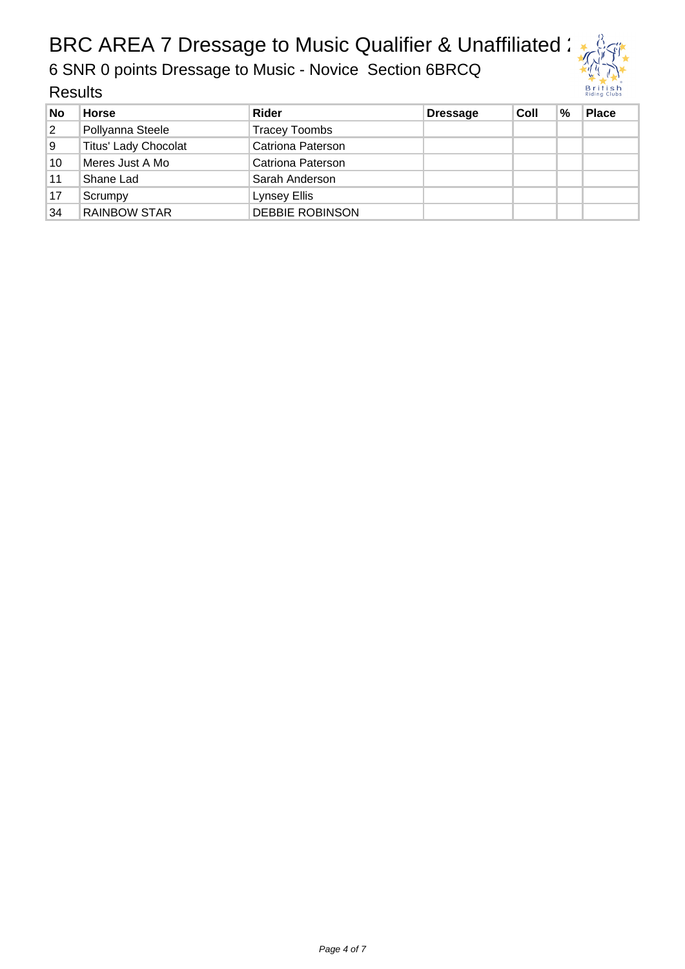6 SNR 0 points Dressage to Music - Novice Section 6BRCQ

| <b>No</b> | <b>Horse</b>                | Rider                    | <b>Dressage</b> | Coll | $\frac{0}{0}$ | <b>Place</b> |
|-----------|-----------------------------|--------------------------|-----------------|------|---------------|--------------|
| 2         | Pollyanna Steele            | <b>Tracey Toombs</b>     |                 |      |               |              |
| 9         | <b>Titus' Lady Chocolat</b> | <b>Catriona Paterson</b> |                 |      |               |              |
| 10        | Meres Just A Mo             | Catriona Paterson        |                 |      |               |              |
| 11        | Shane Lad                   | Sarah Anderson           |                 |      |               |              |
| 17        | Scrumpy                     | Lynsey Ellis             |                 |      |               |              |
| 34        | <b>RAINBOW STAR</b>         | <b>DEBBIE ROBINSON</b>   |                 |      |               |              |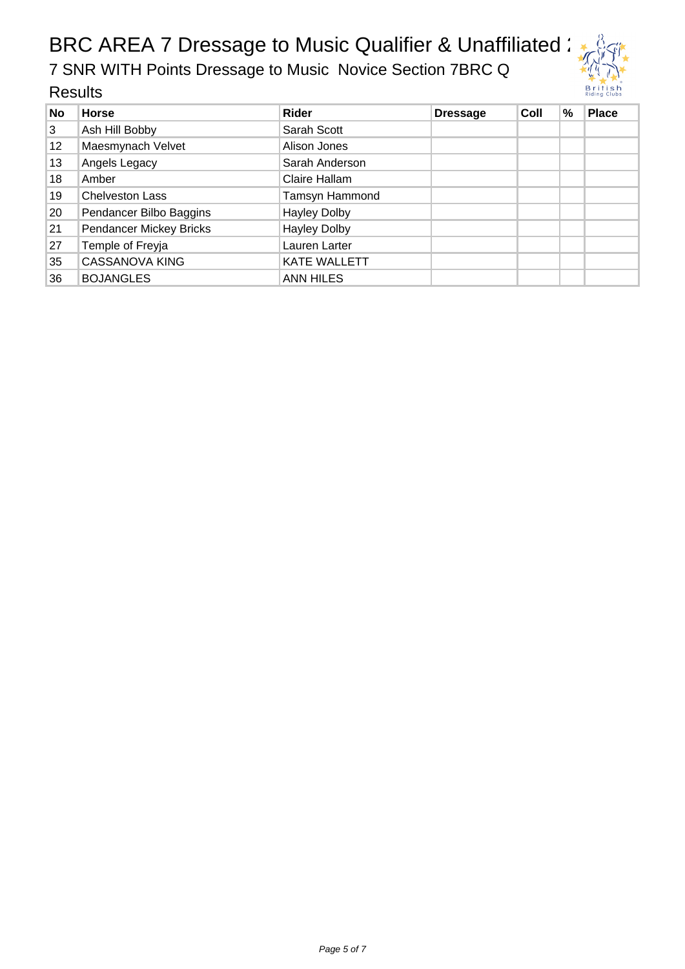7 SNR WITH Points Dressage to Music Novice Section 7BRC Q



| No              | <b>Horse</b>            | <b>Rider</b>        | <b>Dressage</b> | Coll | % | <b>Place</b> |
|-----------------|-------------------------|---------------------|-----------------|------|---|--------------|
| 3               | Ash Hill Bobby          | Sarah Scott         |                 |      |   |              |
| 12 <sup>°</sup> | Maesmynach Velvet       | Alison Jones        |                 |      |   |              |
| 13              | Angels Legacy           | Sarah Anderson      |                 |      |   |              |
| 18              | Amber                   | Claire Hallam       |                 |      |   |              |
| 19              | <b>Chelveston Lass</b>  | Tamsyn Hammond      |                 |      |   |              |
| 20              | Pendancer Bilbo Baggins | <b>Hayley Dolby</b> |                 |      |   |              |
| 21              | Pendancer Mickey Bricks | <b>Hayley Dolby</b> |                 |      |   |              |
| 27              | Temple of Freyja        | Lauren Larter       |                 |      |   |              |
| 35              | <b>CASSANOVA KING</b>   | <b>KATE WALLETT</b> |                 |      |   |              |
| 36              | <b>BOJANGLES</b>        | <b>ANN HILES</b>    |                 |      |   |              |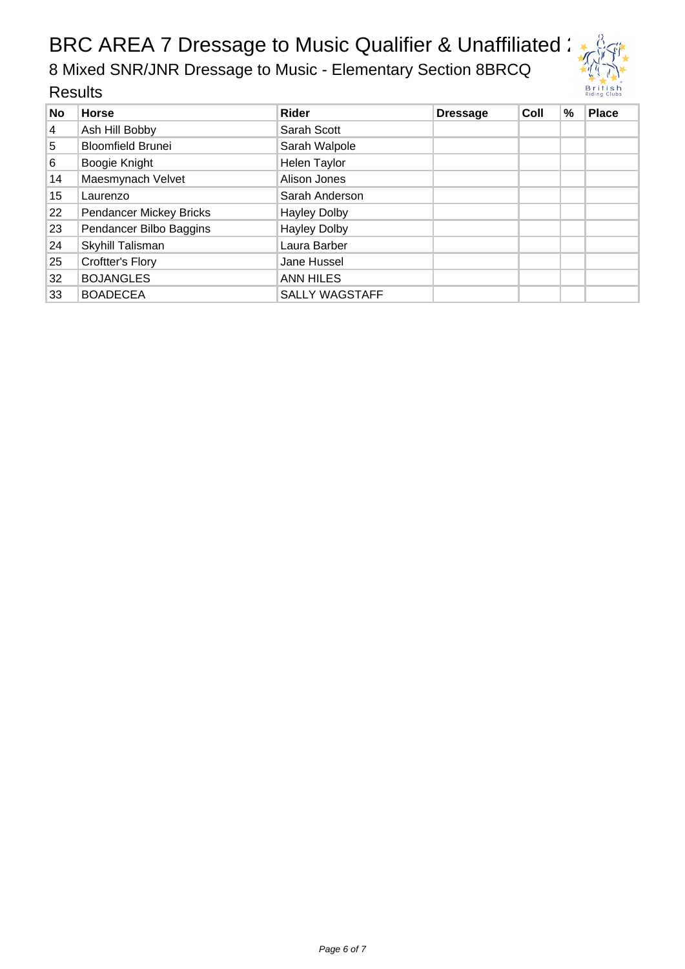8 Mixed SNR/JNR Dressage to Music - Elementary Section 8BRCQ